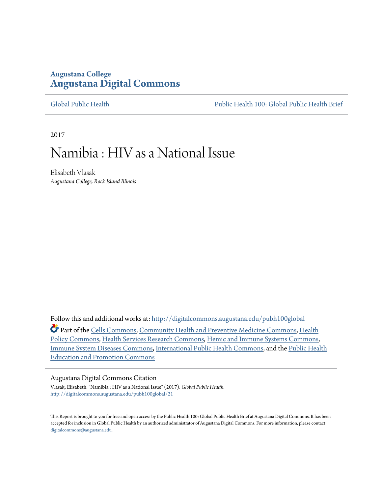#### **Augustana College [Augustana Digital Commons](http://digitalcommons.augustana.edu?utm_source=digitalcommons.augustana.edu%2Fpubh100global%2F21&utm_medium=PDF&utm_campaign=PDFCoverPages)**

[Global Public Health](http://digitalcommons.augustana.edu/pubh100global?utm_source=digitalcommons.augustana.edu%2Fpubh100global%2F21&utm_medium=PDF&utm_campaign=PDFCoverPages) [Public Health 100: Global Public Health Brief](http://digitalcommons.augustana.edu/pubh100?utm_source=digitalcommons.augustana.edu%2Fpubh100global%2F21&utm_medium=PDF&utm_campaign=PDFCoverPages)

2017

## Namibia : HIV as a National Issue

Elisabeth Vlasak *Augustana College, Rock Island Illinois*

Follow this and additional works at: [http://digitalcommons.augustana.edu/pubh100global](http://digitalcommons.augustana.edu/pubh100global?utm_source=digitalcommons.augustana.edu%2Fpubh100global%2F21&utm_medium=PDF&utm_campaign=PDFCoverPages) Part of the [Cells Commons,](http://network.bepress.com/hgg/discipline/940?utm_source=digitalcommons.augustana.edu%2Fpubh100global%2F21&utm_medium=PDF&utm_campaign=PDFCoverPages) [Community Health and Preventive Medicine Commons](http://network.bepress.com/hgg/discipline/744?utm_source=digitalcommons.augustana.edu%2Fpubh100global%2F21&utm_medium=PDF&utm_campaign=PDFCoverPages), [Health](http://network.bepress.com/hgg/discipline/395?utm_source=digitalcommons.augustana.edu%2Fpubh100global%2F21&utm_medium=PDF&utm_campaign=PDFCoverPages) [Policy Commons](http://network.bepress.com/hgg/discipline/395?utm_source=digitalcommons.augustana.edu%2Fpubh100global%2F21&utm_medium=PDF&utm_campaign=PDFCoverPages), [Health Services Research Commons](http://network.bepress.com/hgg/discipline/816?utm_source=digitalcommons.augustana.edu%2Fpubh100global%2F21&utm_medium=PDF&utm_campaign=PDFCoverPages), [Hemic and Immune Systems Commons,](http://network.bepress.com/hgg/discipline/948?utm_source=digitalcommons.augustana.edu%2Fpubh100global%2F21&utm_medium=PDF&utm_campaign=PDFCoverPages) [Immune System Diseases Commons,](http://network.bepress.com/hgg/discipline/933?utm_source=digitalcommons.augustana.edu%2Fpubh100global%2F21&utm_medium=PDF&utm_campaign=PDFCoverPages) [International Public Health Commons](http://network.bepress.com/hgg/discipline/746?utm_source=digitalcommons.augustana.edu%2Fpubh100global%2F21&utm_medium=PDF&utm_campaign=PDFCoverPages), and the [Public Health](http://network.bepress.com/hgg/discipline/743?utm_source=digitalcommons.augustana.edu%2Fpubh100global%2F21&utm_medium=PDF&utm_campaign=PDFCoverPages) [Education and Promotion Commons](http://network.bepress.com/hgg/discipline/743?utm_source=digitalcommons.augustana.edu%2Fpubh100global%2F21&utm_medium=PDF&utm_campaign=PDFCoverPages)

#### Augustana Digital Commons Citation

Vlasak, Elisabeth. "Namibia : HIV as a National Issue" (2017). *Global Public Health.* [http://digitalcommons.augustana.edu/pubh100global/21](http://digitalcommons.augustana.edu/pubh100global/21?utm_source=digitalcommons.augustana.edu%2Fpubh100global%2F21&utm_medium=PDF&utm_campaign=PDFCoverPages)

This Report is brought to you for free and open access by the Public Health 100: Global Public Health Brief at Augustana Digital Commons. It has been accepted for inclusion in Global Public Health by an authorized administrator of Augustana Digital Commons. For more information, please contact [digitalcommons@augustana.edu.](mailto:digitalcommons@augustana.edu)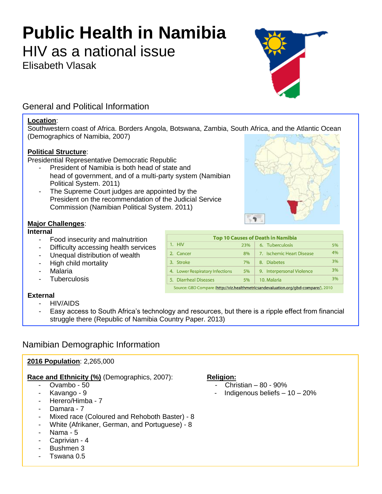# **Public Health in Namibia**

HIV as a national issue

Elisabeth Vlasak

### General and Political Information

#### **Location**:

Southwestern coast of Africa. Borders Angola, Botswana, Zambia, South Africa, and the Atlantic Ocean (Demographics of Namibia, 2007)

#### **Political Structure**:

Presidential Representative Democratic Republic

- President of Namibia is both head of state and head of government, and of a multi-party system (Namibian Political System. 2011)
- The Supreme Court judges are appointed by the President on the recommendation of the Judicial Service Commission (Namibian Political System. 2011)

#### **Major Challenges**:

#### **Internal**

- Food insecurity and malnutrition
- Difficulty accessing health services
- Unequal distribution of wealth
- High child mortality
- **Malaria**
- **Tuberculosis**

#### **External**

- HIV/AIDS
- Easy access to South Africa's technology and resources, but there is a ripple effect from financial struggle there (Republic of Namibia Country Paper. 2013)

#### Namibian Demographic Information

#### **2016 Population**: 2,265,000

#### **Race and Ethnicity (%)** (Demographics, 2007): **Religion:**

- 
- 
- Herero/Himba 7
- Damara 7
- Mixed race (Coloured and Rehoboth Baster) 8
- White (Afrikaner, German, and Portuguese) 8
- Nama 5
- Caprivian 4
- Bushmen 3
- Tswana 0.5

- $Ovambo 50$  Christian 80 90%
- Kavango 9 Indigenous beliefs 10 20%

| <b>Top 10 Causes of Death in Namibia</b> |     |                           |    |
|------------------------------------------|-----|---------------------------|----|
| $1.$ HIV                                 | 23% | 6. Tuberculosis           | 5% |
| 2. Cancer                                | 8%  | 7. Ischemic Heart Disease | 4% |
| <b>Stroke</b><br>3.                      | 7%  | <b>Diabetes</b><br>8.     | 3% |
| 4. Lower Respiratory Infections          | 5%  | 9. Interpersonal Violence | 3% |
| 5. Diarrheal Diseases                    | 5%  | 10. Malaria               | 3% |

 $\mathbf{q}$ 

Source: GBD Compare (<mark>http://viz.healthmetricsandevaluation.org/gbd-compare/</mark>), 2010